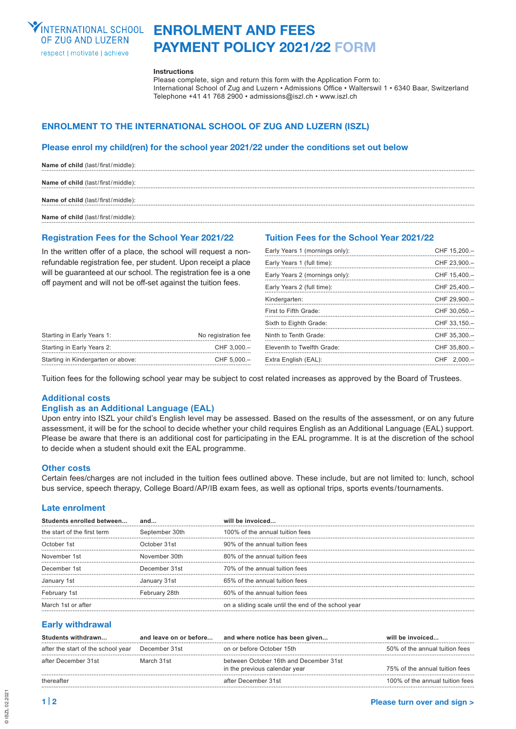

# **Enrolment and Fees Payment Policy 2021/22 FORM**

#### **Instructions**

Please complete, sign and return this form with the Application Form to: International School of Zug and Luzern • Admissions Office • Walterswil 1 • 6340 Baar, Switzerland Telephone +41 41 768 2900 • admissions@iszl.ch • www.iszl.ch

# **Enrolment to the International School of Zug and Luzern (ISZL)**

## **Please enrol my child(ren) for the school year 2021/22 under the conditions set out below**

| Name of child (last/first/middle): |
|------------------------------------|
| Name of child (last/first/middle): |
| Name of child (last/first/middle): |
| Name of child (last/first/middle): |

## **Registration Fees for the School Year 2021/22**

In the written offer of a place, the school will request a nonrefundable registration fee, per student. Upon receipt a place will be quaranteed at our school. The registration fee is a one off payment and will not be off-set against the tuition fees.

Starting in Early Years 1: No registration fee Starting in Early Years 2: CHF 3,000.– Starting in Kindergarten or above: CHF 5,000.–

## **Tuition Fees for the School Year 2021/22**

| Early Years 1 (mornings only): | CHF 15,200.-  |
|--------------------------------|---------------|
| Early Years 1 (full time):     | CHF 23,900.-  |
| Early Years 2 (mornings only): | CHF 15,400.-  |
| Early Years 2 (full time):     | CHF 25,400.-  |
| Kindergarten:                  | CHF 29,900.-  |
| First to Fifth Grade:          | CHF 30,050.-  |
| Sixth to Eighth Grade:         | CHF 33,150.-  |
| Ninth to Tenth Grade:          | CHF 35,300.-  |
| Eleventh to Twelfth Grade:     | CHF 35,800 .- |
| Extra English (EAL):           | CHF 2.000 .-  |
|                                |               |

Tuition fees for the following school year may be subject to cost related increases as approved by the Board of Trustees.

## **Additional costs**

## **English as an Additional Language (EAL)**

Upon entry into ISZL your child's English level may be assessed. Based on the results of the assessment, or on any future assessment, it will be for the school to decide whether your child requires English as an Additional Language (EAL) support. Please be aware that there is an additional cost for participating in the EAL programme. It is at the discretion of the school to decide when a student should exit the EAL programme.

## **Other costs**

Certain fees/charges are not included in the tuition fees outlined above. These include, but are not limited to: lunch, school bus service, speech therapy, College Board/AP/IB exam fees, as well as optional trips, sports events/tournaments.

## **Late enrolment**

| Students enrolled between   | and            | will be invoiced                                    |
|-----------------------------|----------------|-----------------------------------------------------|
| the start of the first term | September 30th | 100% of the annual tuition fees                     |
| October 1st                 | October 31st   | 90% of the annual tuition fees                      |
| November 1st                | November 30th  | 80% of the annual tuition fees                      |
| December 1st                | December 31st  | 70% of the annual tuition fees                      |
| January 1st                 | January 31st   | 65% of the annual tuition fees                      |
| February 1st                | February 28th  | 60% of the annual tuition fees                      |
| March 1st or after          |                | on a sliding scale until the end of the school year |

## **Early withdrawal**

| Students withdrawn                 | and leave on or before | and where notice has been given                                         | will be invoiced                |
|------------------------------------|------------------------|-------------------------------------------------------------------------|---------------------------------|
| after the start of the school year | December 31st          | on or before October 15th                                               | 50% of the annual tuition fees  |
| after December 31st                | March 31st             | between October 16th and December 31st<br>in the previous calendar year | 75% of the annual tuition fees  |
| thereafter                         |                        | after December 31st                                                     | 100% of the annual tuition fees |

© ISZL 02.2021

© ISZL 02.202